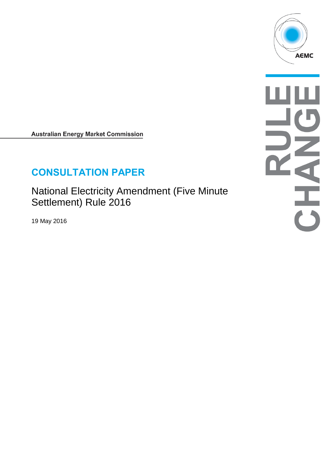

**Australian Energy Market Commission** 

# **CONSULTATION PAPER**

National Electricity Amendment (Five Minute Settlement) Rule 2016

19 May 2016

このこと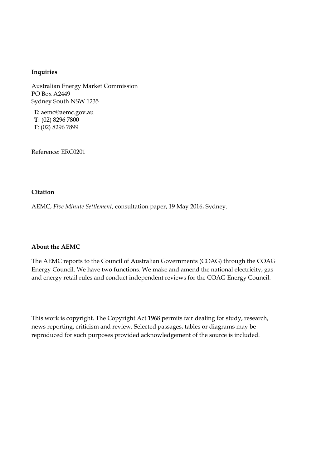#### **Inquiries**

Australian Energy Market Commission PO Box A2449 Sydney South NSW 1235

**E**: aemc@aemc.gov.au **T**: (02) 8296 7800 **F**: (02) 8296 7899

Reference: ERC0201

#### **Citation**

AEMC, *Five Minute Settlement*, consultation paper, 19 May 2016, Sydney.

#### **About the AEMC**

The AEMC reports to the Council of Australian Governments (COAG) through the COAG Energy Council. We have two functions. We make and amend the national electricity, gas and energy retail rules and conduct independent reviews for the COAG Energy Council.

This work is copyright. The Copyright Act 1968 permits fair dealing for study, research, news reporting, criticism and review. Selected passages, tables or diagrams may be reproduced for such purposes provided acknowledgement of the source is included.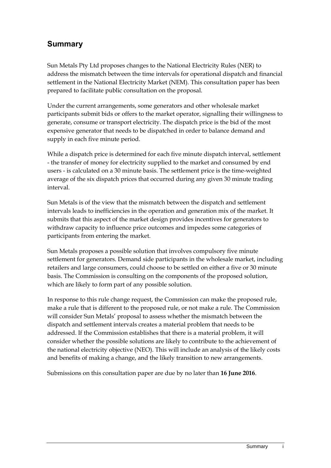## **Summary**

Sun Metals Pty Ltd proposes changes to the National Electricity Rules (NER) to address the mismatch between the time intervals for operational dispatch and financial settlement in the National Electricity Market (NEM). This consultation paper has been prepared to facilitate public consultation on the proposal.

Under the current arrangements, some generators and other wholesale market participants submit bids or offers to the market operator, signalling their willingness to generate, consume or transport electricity. The dispatch price is the bid of the most expensive generator that needs to be dispatched in order to balance demand and supply in each five minute period.

While a dispatch price is determined for each five minute dispatch interval, settlement - the transfer of money for electricity supplied to the market and consumed by end users - is calculated on a 30 minute basis. The settlement price is the time-weighted average of the six dispatch prices that occurred during any given 30 minute trading interval.

Sun Metals is of the view that the mismatch between the dispatch and settlement intervals leads to inefficiencies in the operation and generation mix of the market. It submits that this aspect of the market design provides incentives for generators to withdraw capacity to influence price outcomes and impedes some categories of participants from entering the market.

Sun Metals proposes a possible solution that involves compulsory five minute settlement for generators. Demand side participants in the wholesale market, including retailers and large consumers, could choose to be settled on either a five or 30 minute basis. The Commission is consulting on the components of the proposed solution, which are likely to form part of any possible solution.

In response to this rule change request, the Commission can make the proposed rule, make a rule that is different to the proposed rule, or not make a rule. The Commission will consider Sun Metals' proposal to assess whether the mismatch between the dispatch and settlement intervals creates a material problem that needs to be addressed. If the Commission establishes that there is a material problem, it will consider whether the possible solutions are likely to contribute to the achievement of the national electricity objective (NEO). This will include an analysis of the likely costs and benefits of making a change, and the likely transition to new arrangements.

Submissions on this consultation paper are due by no later than **16 June 2016**.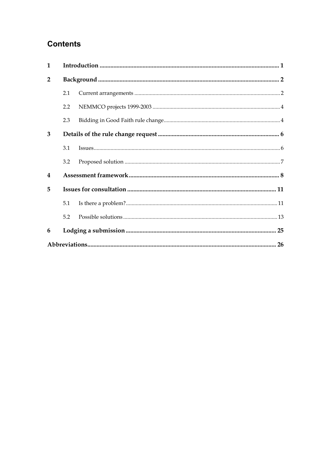# **Contents**

| $\mathbf{1}$            |     |  |  |  |
|-------------------------|-----|--|--|--|
| $\overline{2}$          |     |  |  |  |
|                         | 2.1 |  |  |  |
|                         | 2.2 |  |  |  |
|                         | 2.3 |  |  |  |
| 3                       |     |  |  |  |
|                         | 3.1 |  |  |  |
|                         | 3.2 |  |  |  |
| $\overline{\mathbf{4}}$ |     |  |  |  |
| 5                       |     |  |  |  |
|                         | 5.1 |  |  |  |
|                         | 5.2 |  |  |  |
| 6                       |     |  |  |  |
|                         |     |  |  |  |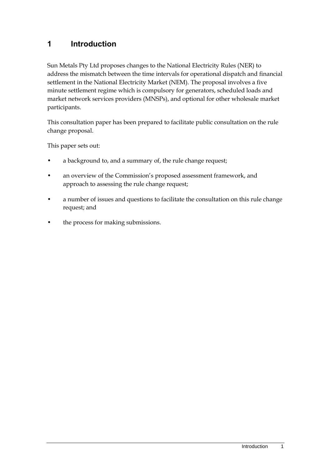### <span id="page-4-0"></span>**1 Introduction**

Sun Metals Pty Ltd proposes changes to the National Electricity Rules (NER) to address the mismatch between the time intervals for operational dispatch and financial settlement in the National Electricity Market (NEM). The proposal involves a five minute settlement regime which is compulsory for generators, scheduled loads and market network services providers (MNSPs), and optional for other wholesale market participants.

This consultation paper has been prepared to facilitate public consultation on the rule change proposal.

This paper sets out:

- a background to, and a summary of, the rule change request;
- an overview of the Commission's proposed assessment framework, and approach to assessing the rule change request;
- a number of issues and questions to facilitate the consultation on this rule change request; and
- the process for making submissions.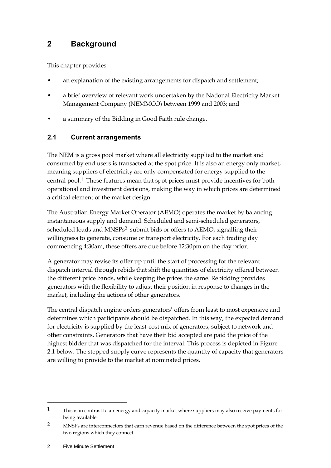### <span id="page-5-0"></span>**2 Background**

This chapter provides:

- an explanation of the existing arrangements for dispatch and settlement;
- a brief overview of relevant work undertaken by the National Electricity Market Management Company (NEMMCO) between 1999 and 2003; and
- a summary of the Bidding in Good Faith rule change.

### <span id="page-5-1"></span>**2.1 Current arrangements**

The NEM is a gross pool market where all electricity supplied to the market and consumed by end users is transacted at the spot price. It is also an energy only market, meaning suppliers of electricity are only compensated for energy supplied to the central pool.1 These features mean that spot prices must provide incentives for both operational and investment decisions, making the way in which prices are determined a critical element of the market design.

The Australian Energy Market Operator (AEMO) operates the market by balancing instantaneous supply and demand. Scheduled and semi-scheduled generators, scheduled loads and MNSPs<sup>2</sup> submit bids or offers to AEMO, signalling their willingness to generate, consume or transport electricity. For each trading day commencing 4:30am, these offers are due before 12:30pm on the day prior.

A generator may revise its offer up until the start of processing for the relevant dispatch interval through rebids that shift the quantities of electricity offered between the different price bands, while keeping the prices the same. Rebidding provides generators with the flexibility to adjust their position in response to changes in the market, including the actions of other generators.

The central dispatch engine orders generators' offers from least to most expensive and determines which participants should be dispatched. In this way, the expected demand for electricity is supplied by the least-cost mix of generators, subject to network and other constraints. Generators that have their bid accepted are paid the price of the highest bidder that was dispatched for the interval. This process is depicted in Figure 2.1 below. The stepped supply curve represents the quantity of capacity that generators are willing to provide to the market at nominated prices.

 $1$  This is in contrast to an energy and capacity market where suppliers may also receive payments for being available.

<sup>2</sup> MNSPs are interconnectors that earn revenue based on the difference between the spot prices of the two regions which they connect.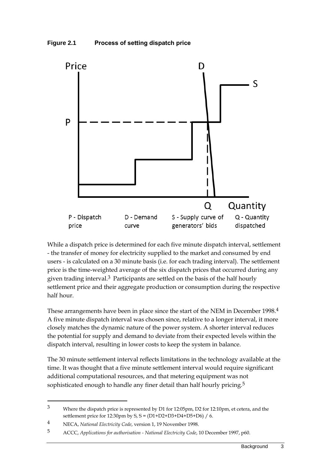



While a dispatch price is determined for each five minute dispatch interval, settlement - the transfer of money for electricity supplied to the market and consumed by end users - is calculated on a 30 minute basis (i.e. for each trading interval). The settlement price is the time-weighted average of the six dispatch prices that occurred during any given trading interval.3 Participants are settled on the basis of the half hourly settlement price and their aggregate production or consumption during the respective half hour.

These arrangements have been in place since the start of the NEM in December 1998.4 A five minute dispatch interval was chosen since, relative to a longer interval, it more closely matches the dynamic nature of the power system. A shorter interval reduces the potential for supply and demand to deviate from their expected levels within the dispatch interval, resulting in lower costs to keep the system in balance.

The 30 minute settlement interval reflects limitations in the technology available at the time. It was thought that a five minute settlement interval would require significant additional computational resources, and that metering equipment was not sophisticated enough to handle any finer detail than half hourly pricing.<sup>5</sup>

<sup>3</sup> Where the dispatch price is represented by D1 for 12:05pm, D2 for 12:10pm, et cetera, and the settlement price for 12:30pm by S, S = (D1+D2+D3+D4+D5+D6) / 6.

<sup>4</sup> NECA, *National Electricity Code*, version 1, 19 November 1998.

<sup>5</sup> ACCC, *Applications for authorisation - National Electricity Code*, 10 December 1997, p60.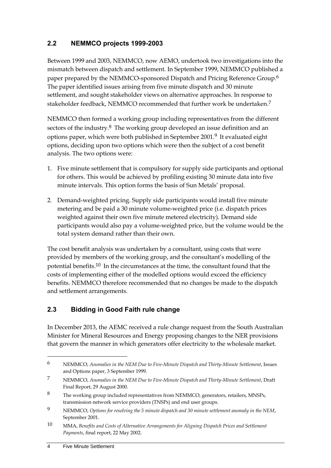### <span id="page-7-0"></span>**2.2 NEMMCO projects 1999-2003**

Between 1999 and 2003, NEMMCO, now AEMO, undertook two investigations into the mismatch between dispatch and settlement. In September 1999, NEMMCO published a paper prepared by the NEMMCO-sponsored Dispatch and Pricing Reference Group.6 The paper identified issues arising from five minute dispatch and 30 minute settlement, and sought stakeholder views on alternative approaches. In response to stakeholder feedback, NEMMCO recommended that further work be undertaken.7

NEMMCO then formed a working group including representatives from the different sectors of the industry.<sup>8</sup> The working group developed an issue definition and an options paper, which were both published in September 2001.9 It evaluated eight options, deciding upon two options which were then the subject of a cost benefit analysis. The two options were:

- 1. Five minute settlement that is compulsory for supply side participants and optional for others. This would be achieved by profiling existing 30 minute data into five minute intervals. This option forms the basis of Sun Metals' proposal.
- 2. Demand-weighted pricing. Supply side participants would install five minute metering and be paid a 30 minute volume-weighted price (i.e. dispatch prices weighted against their own five minute metered electricity). Demand side participants would also pay a volume-weighted price, but the volume would be the total system demand rather than their own.

The cost benefit analysis was undertaken by a consultant, using costs that were provided by members of the working group, and the consultant's modelling of the potential benefits.10 In the circumstances at the time, the consultant found that the costs of implementing either of the modelled options would exceed the efficiency benefits. NEMMCO therefore recommended that no changes be made to the dispatch and settlement arrangements.

### <span id="page-7-1"></span>**2.3 Bidding in Good Faith rule change**

In December 2013, the AEMC received a rule change request from the South Australian Minister for Mineral Resources and Energy proposing changes to the NER provisions that govern the manner in which generators offer electricity to the wholesale market.

<sup>6</sup> NEMMCO, *Anomalies in the NEM Due to Five-Minute Dispatch and Thirty-Minute Settlement*, Issues and Options paper, 3 September 1999.

<sup>7</sup> NEMMCO, *Anomalies in the NEM Due to Five-Minute Dispatch and Thirty-Minute Settlement*, Draft Final Report, 29 August 2000.

<sup>8</sup> The working group included representatives from NEMMCO, generators, retailers, MNSPs, transmission network service providers (TNSPs) and end user groups.

<sup>9</sup> NEMMCO, *Options for resolving the 5 minute dispatch and 30 minute settlement anomaly in the NEM*, September 2001.

<sup>10</sup> MMA, *Benefits and Costs of Alternative Arrangements for Aligning Dispatch Prices and Settlement Payments*, final report, 22 May 2002.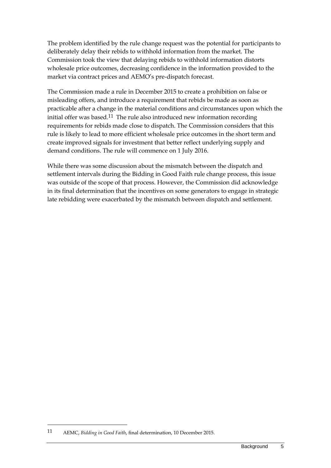The problem identified by the rule change request was the potential for participants to deliberately delay their rebids to withhold information from the market. The Commission took the view that delaying rebids to withhold information distorts wholesale price outcomes, decreasing confidence in the information provided to the market via contract prices and AEMO's pre-dispatch forecast.

The Commission made a rule in December 2015 to create a prohibition on false or misleading offers, and introduce a requirement that rebids be made as soon as practicable after a change in the material conditions and circumstances upon which the initial offer was based.11 The rule also introduced new information recording requirements for rebids made close to dispatch. The Commission considers that this rule is likely to lead to more efficient wholesale price outcomes in the short term and create improved signals for investment that better reflect underlying supply and demand conditions. The rule will commence on 1 July 2016.

While there was some discussion about the mismatch between the dispatch and settlement intervals during the Bidding in Good Faith rule change process, this issue was outside of the scope of that process. However, the Commission did acknowledge in its final determination that the incentives on some generators to engage in strategic late rebidding were exacerbated by the mismatch between dispatch and settlement.

1

<sup>11</sup> AEMC, *Bidding in Good Faith*, final determination, 10 December 2015.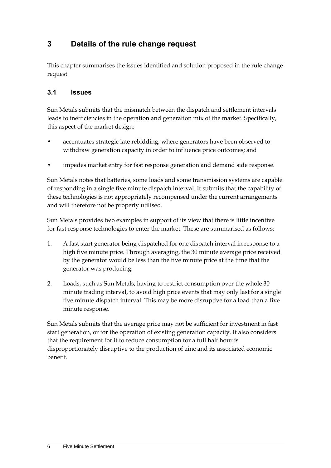# <span id="page-9-0"></span>**3 Details of the rule change request**

This chapter summarises the issues identified and solution proposed in the rule change request.

#### <span id="page-9-1"></span>**3.1 Issues**

Sun Metals submits that the mismatch between the dispatch and settlement intervals leads to inefficiencies in the operation and generation mix of the market. Specifically, this aspect of the market design:

- accentuates strategic late rebidding, where generators have been observed to withdraw generation capacity in order to influence price outcomes; and
- impedes market entry for fast response generation and demand side response.

Sun Metals notes that batteries, some loads and some transmission systems are capable of responding in a single five minute dispatch interval. It submits that the capability of these technologies is not appropriately recompensed under the current arrangements and will therefore not be properly utilised.

Sun Metals provides two examples in support of its view that there is little incentive for fast response technologies to enter the market. These are summarised as follows:

- 1. A fast start generator being dispatched for one dispatch interval in response to a high five minute price. Through averaging, the 30 minute average price received by the generator would be less than the five minute price at the time that the generator was producing.
- 2. Loads, such as Sun Metals, having to restrict consumption over the whole 30 minute trading interval, to avoid high price events that may only last for a single five minute dispatch interval. This may be more disruptive for a load than a five minute response.

Sun Metals submits that the average price may not be sufficient for investment in fast start generation, or for the operation of existing generation capacity. It also considers that the requirement for it to reduce consumption for a full half hour is disproportionately disruptive to the production of zinc and its associated economic benefit.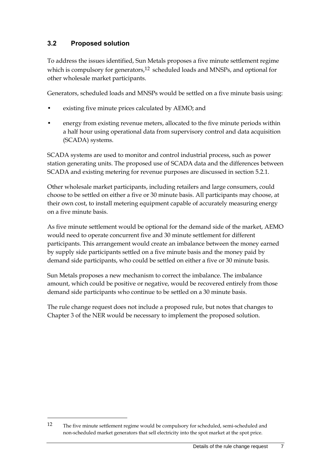### <span id="page-10-0"></span>**3.2 Proposed solution**

To address the issues identified, Sun Metals proposes a five minute settlement regime which is compulsory for generators, $12$  scheduled loads and MNSPs, and optional for other wholesale market participants.

Generators, scheduled loads and MNSPs would be settled on a five minute basis using:

- existing five minute prices calculated by AEMO; and
- energy from existing revenue meters, allocated to the five minute periods within a half hour using operational data from supervisory control and data acquisition (SCADA) systems.

SCADA systems are used to monitor and control industrial process, such as power station generating units. The proposed use of SCADA data and the differences between SCADA and existing metering for revenue purposes are discussed in section 5.2.1.

Other wholesale market participants, including retailers and large consumers, could choose to be settled on either a five or 30 minute basis. All participants may choose, at their own cost, to install metering equipment capable of accurately measuring energy on a five minute basis.

As five minute settlement would be optional for the demand side of the market, AEMO would need to operate concurrent five and 30 minute settlement for different participants. This arrangement would create an imbalance between the money earned by supply side participants settled on a five minute basis and the money paid by demand side participants, who could be settled on either a five or 30 minute basis.

Sun Metals proposes a new mechanism to correct the imbalance. The imbalance amount, which could be positive or negative, would be recovered entirely from those demand side participants who continue to be settled on a 30 minute basis.

The rule change request does not include a proposed rule, but notes that changes to Chapter 3 of the NER would be necessary to implement the proposed solution.

1

<sup>12</sup> The five minute settlement regime would be compulsory for scheduled, semi-scheduled and non-scheduled market generators that sell electricity into the spot market at the spot price.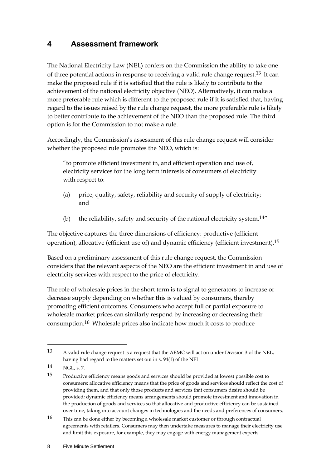### <span id="page-11-0"></span>**4 Assessment framework**

The National Electricity Law (NEL) confers on the Commission the ability to take one of three potential actions in response to receiving a valid rule change request.<sup>13</sup> It can make the proposed rule if it is satisfied that the rule is likely to contribute to the achievement of the national electricity objective (NEO). Alternatively, it can make a more preferable rule which is different to the proposed rule if it is satisfied that, having regard to the issues raised by the rule change request, the more preferable rule is likely to better contribute to the achievement of the NEO than the proposed rule. The third option is for the Commission to not make a rule.

Accordingly, the Commission's assessment of this rule change request will consider whether the proposed rule promotes the NEO, which is:

"to promote efficient investment in, and efficient operation and use of, electricity services for the long term interests of consumers of electricity with respect to:

- (a) price, quality, safety, reliability and security of supply of electricity; and
- (b) the reliability, safety and security of the national electricity system.<sup>14"</sup>

The objective captures the three dimensions of efficiency: productive (efficient operation), allocative (efficient use of) and dynamic efficiency (efficient investment).<sup>15</sup>

Based on a preliminary assessment of this rule change request, the Commission considers that the relevant aspects of the NEO are the efficient investment in and use of electricity services with respect to the price of electricity.

The role of wholesale prices in the short term is to signal to generators to increase or decrease supply depending on whether this is valued by consumers, thereby promoting efficient outcomes. Consumers who accept full or partial exposure to wholesale market prices can similarly respond by increasing or decreasing their consumption.16 Wholesale prices also indicate how much it costs to produce

-

<sup>13</sup> A valid rule change request is a request that the AEMC will act on under Division 3 of the NEL, having had regard to the matters set out in s. 94(1) of the NEL.

<sup>14</sup> NGL, s. 7.

<sup>15</sup> Productive efficiency means goods and services should be provided at lowest possible cost to consumers; allocative efficiency means that the price of goods and services should reflect the cost of providing them, and that only those products and services that consumers desire should be provided; dynamic efficiency means arrangements should promote investment and innovation in the production of goods and services so that allocative and productive efficiency can be sustained over time, taking into account changes in technologies and the needs and preferences of consumers.

<sup>16</sup> This can be done either by becoming a wholesale market customer or through contractual agreements with retailers. Consumers may then undertake measures to manage their electricity use and limit this exposure, for example, they may engage with energy management experts.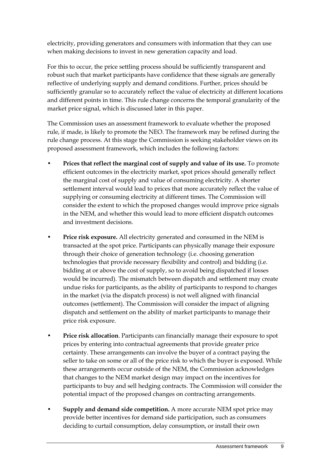electricity, providing generators and consumers with information that they can use when making decisions to invest in new generation capacity and load.

For this to occur, the price settling process should be sufficiently transparent and robust such that market participants have confidence that these signals are generally reflective of underlying supply and demand conditions. Further, prices should be sufficiently granular so to accurately reflect the value of electricity at different locations and different points in time. This rule change concerns the temporal granularity of the market price signal, which is discussed later in this paper.

The Commission uses an assessment framework to evaluate whether the proposed rule, if made, is likely to promote the NEO. The framework may be refined during the rule change process. At this stage the Commission is seeking stakeholder views on its proposed assessment framework, which includes the following factors:

- **Prices that reflect the marginal cost of supply and value of its use.** To promote efficient outcomes in the electricity market, spot prices should generally reflect the marginal cost of supply and value of consuming electricity. A shorter settlement interval would lead to prices that more accurately reflect the value of supplying or consuming electricity at different times. The Commission will consider the extent to which the proposed changes would improve price signals in the NEM, and whether this would lead to more efficient dispatch outcomes and investment decisions.
- **Price risk exposure.** All electricity generated and consumed in the NEM is transacted at the spot price. Participants can physically manage their exposure through their choice of generation technology (i.e. choosing generation technologies that provide necessary flexibility and control) and bidding (i.e. bidding at or above the cost of supply, so to avoid being dispatched if losses would be incurred). The mismatch between dispatch and settlement may create undue risks for participants, as the ability of participants to respond to changes in the market (via the dispatch process) is not well aligned with financial outcomes (settlement). The Commission will consider the impact of aligning dispatch and settlement on the ability of market participants to manage their price risk exposure.
- **Price risk allocation**. Participants can financially manage their exposure to spot prices by entering into contractual agreements that provide greater price certainty. These arrangements can involve the buyer of a contract paying the seller to take on some or all of the price risk to which the buyer is exposed. While these arrangements occur outside of the NEM, the Commission acknowledges that changes to the NEM market design may impact on the incentives for participants to buy and sell hedging contracts. The Commission will consider the potential impact of the proposed changes on contracting arrangements.
- **Supply and demand side competition.** A more accurate NEM spot price may provide better incentives for demand side participation, such as consumers deciding to curtail consumption, delay consumption, or install their own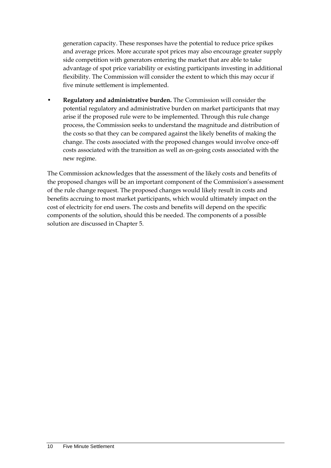generation capacity. These responses have the potential to reduce price spikes and average prices. More accurate spot prices may also encourage greater supply side competition with generators entering the market that are able to take advantage of spot price variability or existing participants investing in additional flexibility. The Commission will consider the extent to which this may occur if five minute settlement is implemented.

• **Regulatory and administrative burden.** The Commission will consider the potential regulatory and administrative burden on market participants that may arise if the proposed rule were to be implemented. Through this rule change process, the Commission seeks to understand the magnitude and distribution of the costs so that they can be compared against the likely benefits of making the change. The costs associated with the proposed changes would involve once-off costs associated with the transition as well as on-going costs associated with the new regime.

The Commission acknowledges that the assessment of the likely costs and benefits of the proposed changes will be an important component of the Commission's assessment of the rule change request. The proposed changes would likely result in costs and benefits accruing to most market participants, which would ultimately impact on the cost of electricity for end users. The costs and benefits will depend on the specific components of the solution, should this be needed. The components of a possible solution are discussed in Chapter [5.](#page-14-0)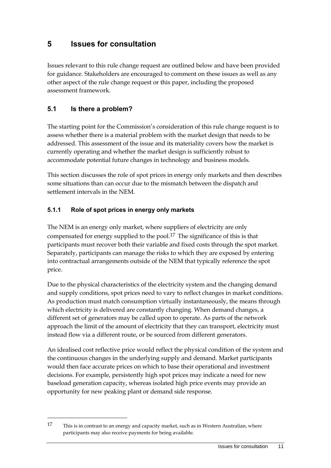### <span id="page-14-0"></span>**5 Issues for consultation**

Issues relevant to this rule change request are outlined below and have been provided for guidance. Stakeholders are encouraged to comment on these issues as well as any other aspect of the rule change request or this paper, including the proposed assessment framework.

#### <span id="page-14-1"></span>**5.1 Is there a problem?**

1

The starting point for the Commission's consideration of this rule change request is to assess whether there is a material problem with the market design that needs to be addressed. This assessment of the issue and its materiality covers how the market is currently operating and whether the market design is sufficiently robust to accommodate potential future changes in technology and business models.

This section discusses the role of spot prices in energy only markets and then describes some situations than can occur due to the mismatch between the dispatch and settlement intervals in the NEM.

#### **5.1.1 Role of spot prices in energy only markets**

The NEM is an energy only market, where suppliers of electricity are only compensated for energy supplied to the pool.17 The significance of this is that participants must recover both their variable and fixed costs through the spot market. Separately, participants can manage the risks to which they are exposed by entering into contractual arrangements outside of the NEM that typically reference the spot price.

Due to the physical characteristics of the electricity system and the changing demand and supply conditions, spot prices need to vary to reflect changes in market conditions. As production must match consumption virtually instantaneously, the means through which electricity is delivered are constantly changing. When demand changes, a different set of generators may be called upon to operate. As parts of the network approach the limit of the amount of electricity that they can transport, electricity must instead flow via a different route, or be sourced from different generators.

An idealised cost reflective price would reflect the physical condition of the system and the continuous changes in the underlying supply and demand. Market participants would then face accurate prices on which to base their operational and investment decisions. For example, persistently high spot prices may indicate a need for new baseload generation capacity, whereas isolated high price events may provide an opportunity for new peaking plant or demand side response.

<sup>17</sup> This is in contrast to an energy and capacity market, such as in Western Australian, where participants may also receive payments for being available.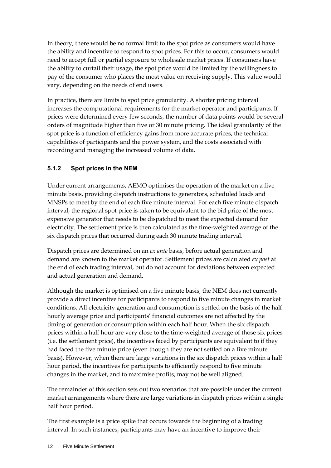In theory, there would be no formal limit to the spot price as consumers would have the ability and incentive to respond to spot prices. For this to occur, consumers would need to accept full or partial exposure to wholesale market prices. If consumers have the ability to curtail their usage, the spot price would be limited by the willingness to pay of the consumer who places the most value on receiving supply. This value would vary, depending on the needs of end users.

In practice, there are limits to spot price granularity. A shorter pricing interval increases the computational requirements for the market operator and participants. If prices were determined every few seconds, the number of data points would be several orders of magnitude higher than five or 30 minute pricing. The ideal granularity of the spot price is a function of efficiency gains from more accurate prices, the technical capabilities of participants and the power system, and the costs associated with recording and managing the increased volume of data.

#### **5.1.2 Spot prices in the NEM**

Under current arrangements, AEMO optimises the operation of the market on a five minute basis, providing dispatch instructions to generators, scheduled loads and MNSPs to meet by the end of each five minute interval. For each five minute dispatch interval, the regional spot price is taken to be equivalent to the bid price of the most expensive generator that needs to be dispatched to meet the expected demand for electricity. The settlement price is then calculated as the time-weighted average of the six dispatch prices that occurred during each 30 minute trading interval.

Dispatch prices are determined on an *ex ante* basis, before actual generation and demand are known to the market operator. Settlement prices are calculated *ex post* at the end of each trading interval, but do not account for deviations between expected and actual generation and demand.

Although the market is optimised on a five minute basis, the NEM does not currently provide a direct incentive for participants to respond to five minute changes in market conditions. All electricity generation and consumption is settled on the basis of the half hourly average price and participants' financial outcomes are not affected by the timing of generation or consumption within each half hour. When the six dispatch prices within a half hour are very close to the time-weighted average of those six prices (i.e. the settlement price), the incentives faced by participants are equivalent to if they had faced the five minute price (even though they are not settled on a five minute basis). However, when there are large variations in the six dispatch prices within a half hour period, the incentives for participants to efficiently respond to five minute changes in the market, and to maximise profits, may not be well aligned.

The remainder of this section sets out two scenarios that are possible under the current market arrangements where there are large variations in dispatch prices within a single half hour period.

The first example is a price spike that occurs towards the beginning of a trading interval. In such instances, participants may have an incentive to improve their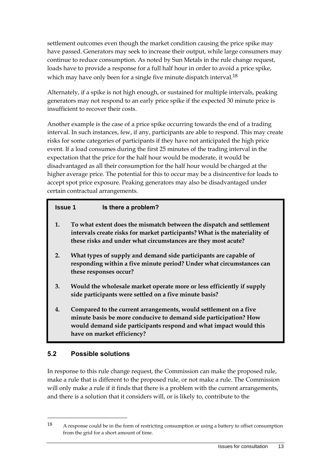settlement outcomes even though the market condition causing the price spike may have passed. Generators may seek to increase their output, while large consumers may continue to reduce consumption. As noted by Sun Metals in the rule change request, loads have to provide a response for a full half hour in order to avoid a price spike, which may have only been for a single five minute dispatch interval.<sup>18</sup>

Alternately, if a spike is not high enough, or sustained for multiple intervals, peaking generators may not respond to an early price spike if the expected 30 minute price is insufficient to recover their costs.

Another example is the case of a price spike occurring towards the end of a trading interval. In such instances, few, if any, participants are able to respond. This may create risks for some categories of participants if they have not anticipated the high price event. If a load consumes during the first 25 minutes of the trading interval in the expectation that the price for the half hour would be moderate, it would be disadvantaged as all their consumption for the half hour would be charged at the higher average price. The potential for this to occur may be a disincentive for loads to accept spot price exposure. Peaking generators may also be disadvantaged under certain contractual arrangements.

| <b>Issue 1</b> | Is there a problem?                                                                                                                                                                                                                     |
|----------------|-----------------------------------------------------------------------------------------------------------------------------------------------------------------------------------------------------------------------------------------|
| 1.             | To what extent does the mismatch between the dispatch and settlement<br>intervals create risks for market participants? What is the materiality of<br>these risks and under what circumstances are they most acute?                     |
| 2.             | What types of supply and demand side participants are capable of<br>responding within a five minute period? Under what circumstances can<br>these responses occur?                                                                      |
| 3.             | Would the wholesale market operate more or less efficiently if supply<br>side participants were settled on a five minute basis?                                                                                                         |
| 4.             | Compared to the current arrangements, would settlement on a five<br>minute basis be more conducive to demand side participation? How<br>would demand side participants respond and what impact would this<br>have on market efficiency? |

#### <span id="page-16-0"></span>**5.2 Possible solutions**

1

In response to this rule change request, the Commission can make the proposed rule, make a rule that is different to the proposed rule, or not make a rule. The Commission will only make a rule if it finds that there is a problem with the current arrangements, and there is a solution that it considers will, or is likely to, contribute to the

<sup>18</sup> A response could be in the form of restricting consumption or using a battery to offset consumption from the grid for a short amount of time.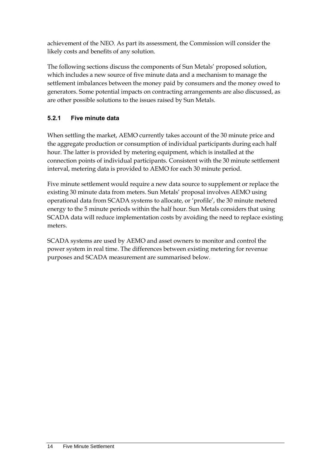achievement of the NEO. As part its assessment, the Commission will consider the likely costs and benefits of any solution.

The following sections discuss the components of Sun Metals' proposed solution, which includes a new source of five minute data and a mechanism to manage the settlement imbalances between the money paid by consumers and the money owed to generators. Some potential impacts on contracting arrangements are also discussed, as are other possible solutions to the issues raised by Sun Metals.

### **5.2.1 Five minute data**

When settling the market, AEMO currently takes account of the 30 minute price and the aggregate production or consumption of individual participants during each half hour. The latter is provided by metering equipment, which is installed at the connection points of individual participants. Consistent with the 30 minute settlement interval, metering data is provided to AEMO for each 30 minute period.

Five minute settlement would require a new data source to supplement or replace the existing 30 minute data from meters. Sun Metals' proposal involves AEMO using operational data from SCADA systems to allocate, or 'profile', the 30 minute metered energy to the 5 minute periods within the half hour. Sun Metals considers that using SCADA data will reduce implementation costs by avoiding the need to replace existing meters.

SCADA systems are used by AEMO and asset owners to monitor and control the power system in real time. The differences between existing metering for revenue purposes and SCADA measurement are summarised below.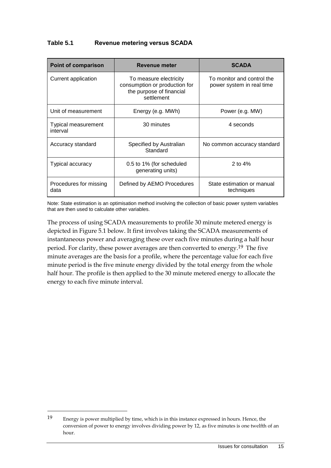| Table 5.1 | <b>Revenue metering versus SCADA</b> |
|-----------|--------------------------------------|
|-----------|--------------------------------------|

| <b>Point of comparison</b>      | <b>Revenue meter</b>                                                                              | <b>SCADA</b>                                            |  |
|---------------------------------|---------------------------------------------------------------------------------------------------|---------------------------------------------------------|--|
| Current application             | To measure electricity<br>consumption or production for<br>the purpose of financial<br>settlement | To monitor and control the<br>power system in real time |  |
| Unit of measurement             | Energy (e.g. MWh)                                                                                 | Power (e.g. MW)                                         |  |
| Typical measurement<br>interval | 30 minutes                                                                                        | 4 seconds                                               |  |
| Accuracy standard               | Specified by Australian<br>Standard                                                               | No common accuracy standard                             |  |
| Typical accuracy                | 0.5 to 1% (for scheduled<br>generating units)                                                     | 2 to $4%$                                               |  |
| Procedures for missing<br>data  | Defined by AEMO Procedures                                                                        | State estimation or manual<br>techniques                |  |

Note: State estimation is an optimisation method involving the collection of basic power system variables that are then used to calculate other variables.

The process of using SCADA measurements to profile 30 minute metered energy is depicted in Figure 5.1 below. It first involves taking the SCADA measurements of instantaneous power and averaging these over each five minutes during a half hour period. For clarity, these power averages are then converted to energy.19 The five minute averages are the basis for a profile, where the percentage value for each five minute period is the five minute energy divided by the total energy from the whole half hour. The profile is then applied to the 30 minute metered energy to allocate the energy to each five minute interval.

<sup>19</sup> Energy is power multiplied by time, which is in this instance expressed in hours. Hence, the conversion of power to energy involves dividing power by 12, as five minutes is one twelfth of an hour.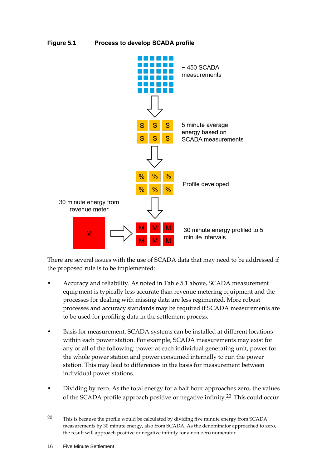#### **Figure 5.1 Process to develop SCADA profile**



There are several issues with the use of SCADA data that may need to be addressed if the proposed rule is to be implemented:

- Accuracy and reliability. As noted in Table 5.1 above, SCADA measurement equipment is typically less accurate than revenue metering equipment and the processes for dealing with missing data are less regimented. More robust processes and accuracy standards may be required if SCADA measurements are to be used for profiling data in the settlement process.
- Basis for measurement. SCADA systems can be installed at different locations within each power station. For example, SCADA measurements may exist for any or all of the following: power at each individual generating unit, power for the whole power station and power consumed internally to run the power station. This may lead to differences in the basis for measurement between individual power stations.
- Dividing by zero. As the total energy for a half hour approaches zero, the values of the SCADA profile approach positive or negative infinity.20 This could occur

<sup>20</sup> This is because the profile would be calculated by dividing five minute energy from SCADA measurements by 30 minute energy, also from SCADA. As the denominator approached to zero, the result will approach positive or negative infinity for a non-zero numerator.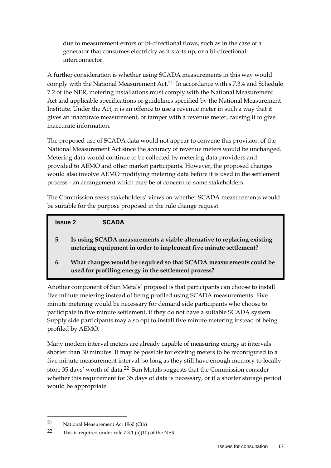due to measurement errors or bi-directional flows, such as in the case of a generator that consumes electricity as it starts up, or a bi-directional interconnector.

A further consideration is whether using SCADA measurements in this way would comply with the National Measurement Act.<sup>21</sup> In accordance with s.7.3.4 and Schedule 7.2 of the NER, metering installations must comply with the National Measurement Act and applicable specifications or guidelines specified by the National Measurement Institute. Under the Act, it is an offence to use a revenue meter in such a way that it gives an inaccurate measurement, or tamper with a revenue meter, causing it to give inaccurate information.

The proposed use of SCADA data would not appear to convene this provision of the National Measurement Act since the accuracy of revenue meters would be unchanged. Metering data would continue to be collected by metering data providers and provided to AEMO and other market participants. However, the proposed changes would also involve AEMO modifying metering data before it is used in the settlement process - an arrangement which may be of concern to some stakeholders.

The Commission seeks stakeholders' views on whether SCADA measurements would be suitable for the purpose proposed in the rule change request.

#### **Issue 2 SCADA**

- **5. Is using SCADA measurements a viable alternative to replacing existing metering equipment in order to implement five minute settlement?**
- **6. What changes would be required so that SCADA measurements could be used for profiling energy in the settlement process?**

Another component of Sun Metals' proposal is that participants can choose to install five minute metering instead of being profiled using SCADA measurements. Five minute metering would be necessary for demand side participants who choose to participate in five minute settlement, if they do not have a suitable SCADA system. Supply side participants may also opt to install five minute metering instead of being profiled by AEMO.

Many modern interval meters are already capable of measuring energy at intervals shorter than 30 minutes. It may be possible for existing meters to be reconfigured to a five minute measurement interval, so long as they still have enough memory to locally store 35 days' worth of data.<sup>22</sup> Sun Metals suggests that the Commission consider whether this requirement for 35 days of data is necessary, or if a shorter storage period would be appropriate.

1

<sup>21</sup> National Measurement Act 1960 (Cth)

<sup>22</sup> This is required under rule 7.3.1 (a)(10) of the NER.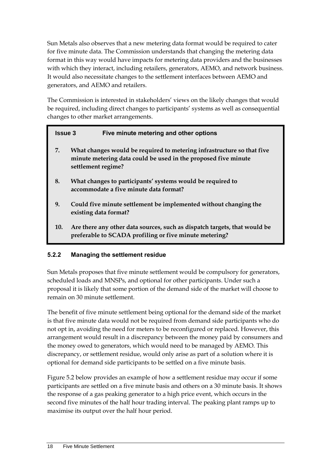Sun Metals also observes that a new metering data format would be required to cater for five minute data. The Commission understands that changing the metering data format in this way would have impacts for metering data providers and the businesses with which they interact, including retailers, generators, AEMO, and network business. It would also necessitate changes to the settlement interfaces between AEMO and generators, and AEMO and retailers.

The Commission is interested in stakeholders' views on the likely changes that would be required, including direct changes to participants' systems as well as consequential changes to other market arrangements.

| <b>Issue 3</b> | Five minute metering and other options                                                                                                                         |
|----------------|----------------------------------------------------------------------------------------------------------------------------------------------------------------|
| 7.             | What changes would be required to metering infrastructure so that five<br>minute metering data could be used in the proposed five minute<br>settlement regime? |
| 8.             | What changes to participants' systems would be required to<br>accommodate a five minute data format?                                                           |
| 9.             | Could five minute settlement be implemented without changing the<br>existing data format?                                                                      |
| 10.            | Are there any other data sources, such as dispatch targets, that would be<br>preferable to SCADA profiling or five minute metering?                            |

#### **5.2.2 Managing the settlement residue**

Sun Metals proposes that five minute settlement would be compulsory for generators, scheduled loads and MNSPs, and optional for other participants. Under such a proposal it is likely that some portion of the demand side of the market will choose to remain on 30 minute settlement.

The benefit of five minute settlement being optional for the demand side of the market is that five minute data would not be required from demand side participants who do not opt in, avoiding the need for meters to be reconfigured or replaced. However, this arrangement would result in a discrepancy between the money paid by consumers and the money owed to generators, which would need to be managed by AEMO. This discrepancy, or settlement residue, would only arise as part of a solution where it is optional for demand side participants to be settled on a five minute basis.

Figure 5.2 below provides an example of how a settlement residue may occur if some participants are settled on a five minute basis and others on a 30 minute basis. It shows the response of a gas peaking generator to a high price event, which occurs in the second five minutes of the half hour trading interval. The peaking plant ramps up to maximise its output over the half hour period.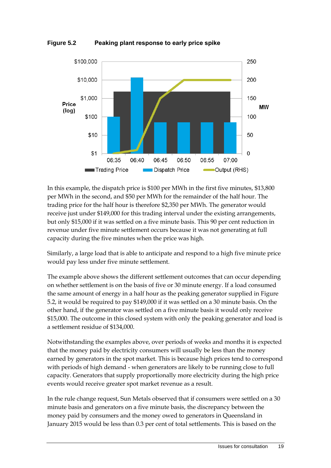

**Figure 5.2 Peaking plant response to early price spike**

In this example, the dispatch price is \$100 per MWh in the first five minutes, \$13,800 per MWh in the second, and \$50 per MWh for the remainder of the half hour. The trading price for the half hour is therefore \$2,350 per MWh. The generator would receive just under \$149,000 for this trading interval under the existing arrangements, but only \$15,000 if it was settled on a five minute basis. This 90 per cent reduction in revenue under five minute settlement occurs because it was not generating at full capacity during the five minutes when the price was high.

Similarly, a large load that is able to anticipate and respond to a high five minute price would pay less under five minute settlement.

The example above shows the different settlement outcomes that can occur depending on whether settlement is on the basis of five or 30 minute energy. If a load consumed the same amount of energy in a half hour as the peaking generator supplied in Figure 5.2, it would be required to pay \$149,000 if it was settled on a 30 minute basis. On the other hand, if the generator was settled on a five minute basis it would only receive \$15,000. The outcome in this closed system with only the peaking generator and load is a settlement residue of \$134,000.

Notwithstanding the examples above, over periods of weeks and months it is expected that the money paid by electricity consumers will usually be less than the money earned by generators in the spot market. This is because high prices tend to correspond with periods of high demand - when generators are likely to be running close to full capacity. Generators that supply proportionally more electricity during the high price events would receive greater spot market revenue as a result.

In the rule change request, Sun Metals observed that if consumers were settled on a 30 minute basis and generators on a five minute basis, the discrepancy between the money paid by consumers and the money owed to generators in Queensland in January 2015 would be less than 0.3 per cent of total settlements. This is based on the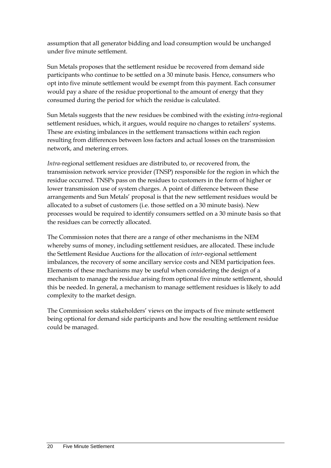assumption that all generator bidding and load consumption would be unchanged under five minute settlement.

Sun Metals proposes that the settlement residue be recovered from demand side participants who continue to be settled on a 30 minute basis. Hence, consumers who opt into five minute settlement would be exempt from this payment. Each consumer would pay a share of the residue proportional to the amount of energy that they consumed during the period for which the residue is calculated.

Sun Metals suggests that the new residues be combined with the existing *intra*-regional settlement residues, which, it argues, would require no changes to retailers' systems. These are existing imbalances in the settlement transactions within each region resulting from differences between loss factors and actual losses on the transmission network, and metering errors.

*Intra*-regional settlement residues are distributed to, or recovered from, the transmission network service provider (TNSP) responsible for the region in which the residue occurred. TNSPs pass on the residues to customers in the form of higher or lower transmission use of system charges. A point of difference between these arrangements and Sun Metals' proposal is that the new settlement residues would be allocated to a subset of customers (i.e. those settled on a 30 minute basis). New processes would be required to identify consumers settled on a 30 minute basis so that the residues can be correctly allocated.

The Commission notes that there are a range of other mechanisms in the NEM whereby sums of money, including settlement residues, are allocated. These include the Settlement Residue Auctions for the allocation of *inter*-regional settlement imbalances, the recovery of some ancillary service costs and NEM participation fees. Elements of these mechanisms may be useful when considering the design of a mechanism to manage the residue arising from optional five minute settlement, should this be needed. In general, a mechanism to manage settlement residues is likely to add complexity to the market design.

The Commission seeks stakeholders' views on the impacts of five minute settlement being optional for demand side participants and how the resulting settlement residue could be managed.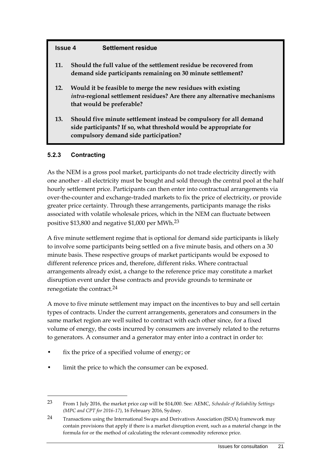#### **Issue 4 Settlement residue**

- **11. Should the full value of the settlement residue be recovered from demand side participants remaining on 30 minute settlement?**
- **12. Would it be feasible to merge the new residues with existing**  *intra***-regional settlement residues? Are there any alternative mechanisms that would be preferable?**
- **13. Should five minute settlement instead be compulsory for all demand side participants? If so, what threshold would be appropriate for compulsory demand side participation?**

#### **5.2.3 Contracting**

<u>.</u>

As the NEM is a gross pool market, participants do not trade electricity directly with one another - all electricity must be bought and sold through the central pool at the half hourly settlement price. Participants can then enter into contractual arrangements via over-the-counter and exchange-traded markets to fix the price of electricity, or provide greater price certainty. Through these arrangements, participants manage the risks associated with volatile wholesale prices, which in the NEM can fluctuate between positive \$13,800 and negative \$1,000 per MWh.23

A five minute settlement regime that is optional for demand side participants is likely to involve some participants being settled on a five minute basis, and others on a 30 minute basis. These respective groups of market participants would be exposed to different reference prices and, therefore, different risks. Where contractual arrangements already exist, a change to the reference price may constitute a market disruption event under these contracts and provide grounds to terminate or renegotiate the contract.24

A move to five minute settlement may impact on the incentives to buy and sell certain types of contracts. Under the current arrangements, generators and consumers in the same market region are well suited to contract with each other since, for a fixed volume of energy, the costs incurred by consumers are inversely related to the returns to generators. A consumer and a generator may enter into a contract in order to:

- fix the price of a specified volume of energy; or
- limit the price to which the consumer can be exposed.

<sup>23</sup> From 1 July 2016, the market price cap will be \$14,000. See: AEMC, *Schedule of Reliability Settings (MPC and CPT for 2016-17)*, 16 February 2016, Sydney.

<sup>24</sup> Transactions using the International Swaps and Derivatives Association (ISDA) framework may contain provisions that apply if there is a market disruption event, such as a material change in the formula for or the method of calculating the relevant commodity reference price.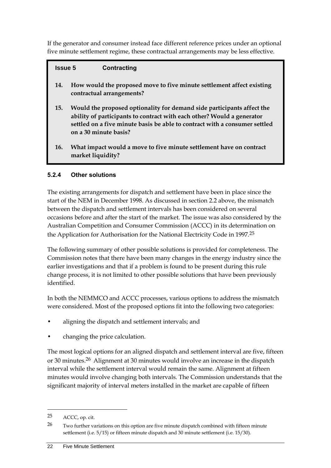If the generator and consumer instead face different reference prices under an optional five minute settlement regime, these contractual arrangements may be less effective.

# **Issue 5 Contracting 14. How would the proposed move to five minute settlement affect existing contractual arrangements? 15. Would the proposed optionality for demand side participants affect the**

- **ability of participants to contract with each other? Would a generator settled on a five minute basis be able to contract with a consumer settled on a 30 minute basis?**
- **16. What impact would a move to five minute settlement have on contract market liquidity?**

### **5.2.4 Other solutions**

The existing arrangements for dispatch and settlement have been in place since the start of the NEM in December 1998. As discussed in section [2.2](#page-7-0) above, the mismatch between the dispatch and settlement intervals has been considered on several occasions before and after the start of the market. The issue was also considered by the Australian Competition and Consumer Commission (ACCC) in its determination on the Application for Authorisation for the National Electricity Code in 1997.25

The following summary of other possible solutions is provided for completeness. The Commission notes that there have been many changes in the energy industry since the earlier investigations and that if a problem is found to be present during this rule change process, it is not limited to other possible solutions that have been previously identified.

In both the NEMMCO and ACCC processes, various options to address the mismatch were considered. Most of the proposed options fit into the following two categories:

- aligning the dispatch and settlement intervals; and
- changing the price calculation.

The most logical options for an aligned dispatch and settlement interval are five, fifteen or 30 minutes.26 Alignment at 30 minutes would involve an increase in the dispatch interval while the settlement interval would remain the same. Alignment at fifteen minutes would involve changing both intervals. The Commission understands that the significant majority of interval meters installed in the market are capable of fifteen

<sup>25</sup> ACCC, op. cit.

<sup>&</sup>lt;sup>26</sup> Two further variations on this option are five minute dispatch combined with fifteen minute settlement (i.e. 5/15) or fifteen minute dispatch and 30 minute settlement (i.e. 15/30).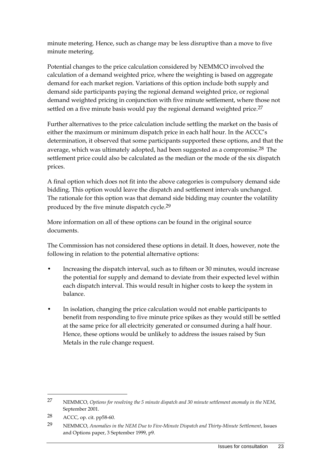minute metering. Hence, such as change may be less disruptive than a move to five minute metering.

Potential changes to the price calculation considered by NEMMCO involved the calculation of a demand weighted price, where the weighting is based on aggregate demand for each market region. Variations of this option include both supply and demand side participants paying the regional demand weighted price, or regional demand weighted pricing in conjunction with five minute settlement, where those not settled on a five minute basis would pay the regional demand weighted price.<sup>27</sup>

Further alternatives to the price calculation include settling the market on the basis of either the maximum or minimum dispatch price in each half hour. In the ACCC's determination, it observed that some participants supported these options, and that the average, which was ultimately adopted, had been suggested as a compromise.<sup>28</sup> The settlement price could also be calculated as the median or the mode of the six dispatch prices.

A final option which does not fit into the above categories is compulsory demand side bidding. This option would leave the dispatch and settlement intervals unchanged. The rationale for this option was that demand side bidding may counter the volatility produced by the five minute dispatch cycle.29

More information on all of these options can be found in the original source documents.

The Commission has not considered these options in detail. It does, however, note the following in relation to the potential alternative options:

- Increasing the dispatch interval, such as to fifteen or 30 minutes, would increase the potential for supply and demand to deviate from their expected level within each dispatch interval. This would result in higher costs to keep the system in balance.
- In isolation, changing the price calculation would not enable participants to benefit from responding to five minute price spikes as they would still be settled at the same price for all electricity generated or consumed during a half hour. Hence, these options would be unlikely to address the issues raised by Sun Metals in the rule change request.

<sup>27</sup> NEMMCO, *Options for resolving the 5 minute dispatch and 30 minute settlement anomaly in the NEM*, September 2001.

<sup>28</sup> ACCC, op. cit. pp58-60.

<sup>29</sup> NEMMCO, *Anomalies in the NEM Due to Five-Minute Dispatch and Thirty-Minute Settlement*, Issues and Options paper, 3 September 1999, p9.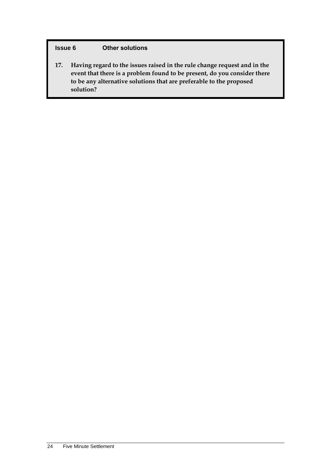#### **Issue 6 Other solutions**

**17. Having regard to the issues raised in the rule change request and in the event that there is a problem found to be present, do you consider there to be any alternative solutions that are preferable to the proposed solution?**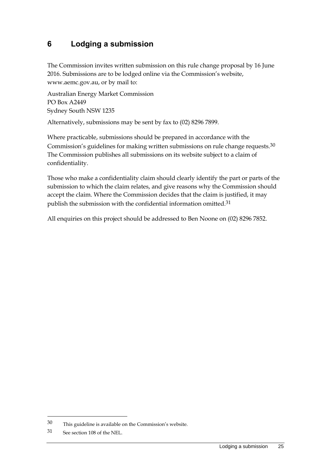### <span id="page-28-0"></span>**6 Lodging a submission**

The Commission invites written submission on this rule change proposal by 16 June 2016. Submissions are to be lodged online via the Commission's website, www.aemc.gov.au, or by mail to:

Australian Energy Market Commission PO Box A2449 Sydney South NSW 1235

Alternatively, submissions may be sent by fax to (02) 8296 7899.

Where practicable, submissions should be prepared in accordance with the Commission's guidelines for making written submissions on rule change requests.30 The Commission publishes all submissions on its website subject to a claim of confidentiality.

Those who make a confidentiality claim should clearly identify the part or parts of the submission to which the claim relates, and give reasons why the Commission should accept the claim. Where the Commission decides that the claim is justified, it may publish the submission with the confidential information omitted.<sup>31</sup>

All enquiries on this project should be addressed to Ben Noone on (02) 8296 7852.

1

<sup>30</sup> This guideline is available on the Commission's website.

<sup>31</sup> See section 108 of the NEL.